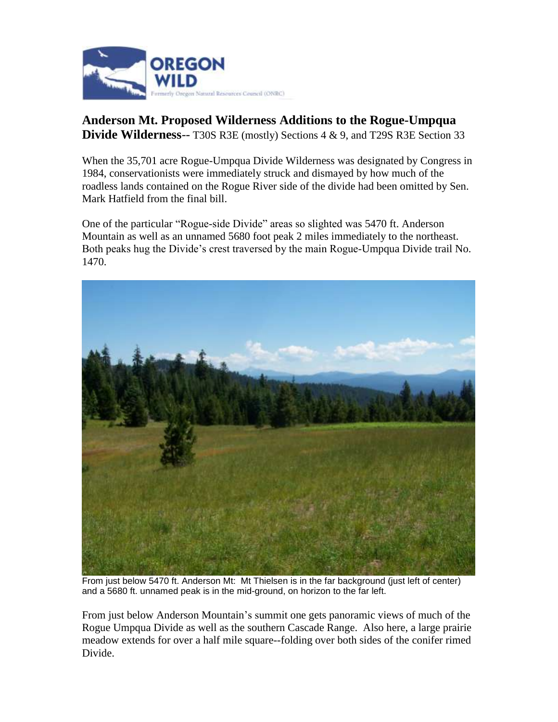

## **Anderson Mt. Proposed Wilderness Additions to the Rogue-Umpqua Divide Wilderness**-- T30S R3E (mostly) Sections 4 & 9, and T29S R3E Section 33

When the 35,701 acre Rogue-Umpqua Divide Wilderness was designated by Congress in 1984, conservationists were immediately struck and dismayed by how much of the roadless lands contained on the Rogue River side of the divide had been omitted by Sen. Mark Hatfield from the final bill.

One of the particular "Rogue-side Divide" areas so slighted was 5470 ft. Anderson Mountain as well as an unnamed 5680 foot peak 2 miles immediately to the northeast. Both peaks hug the Divide's crest traversed by the main Rogue-Umpqua Divide trail No. 1470.



From just below 5470 ft. Anderson Mt: Mt Thielsen is in the far background (just left of center) and a 5680 ft. unnamed peak is in the mid-ground, on horizon to the far left.

From just below Anderson Mountain's summit one gets panoramic views of much of the Rogue Umpqua Divide as well as the southern Cascade Range. Also here, a large prairie meadow extends for over a half mile square--folding over both sides of the conifer rimed Divide.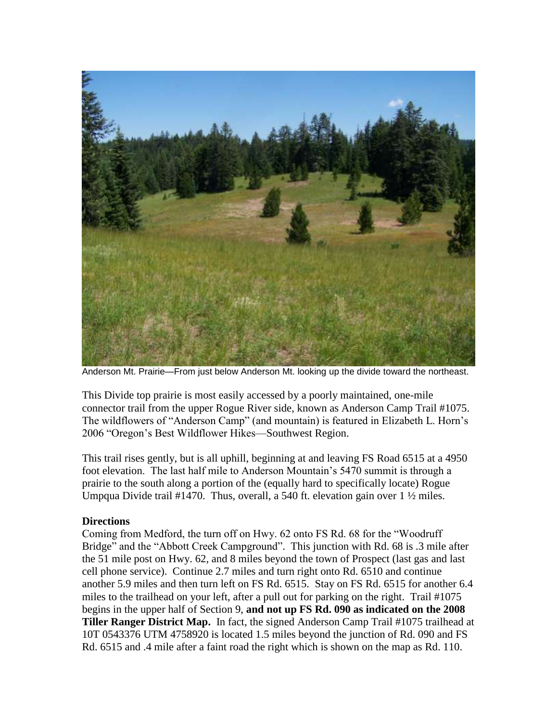

Anderson Mt. Prairie—From just below Anderson Mt. looking up the divide toward the northeast.

This Divide top prairie is most easily accessed by a poorly maintained, one-mile connector trail from the upper Rogue River side, known as Anderson Camp Trail #1075. The wildflowers of "Anderson Camp" (and mountain) is featured in Elizabeth L. Horn's 2006 "Oregon's Best Wildflower Hikes—Southwest Region.

This trail rises gently, but is all uphill, beginning at and leaving FS Road 6515 at a 4950 foot elevation. The last half mile to Anderson Mountain's 5470 summit is through a prairie to the south along a portion of the (equally hard to specifically locate) Rogue Umpqua Divide trail #1470. Thus, overall, a 540 ft. elevation gain over 1 ½ miles.

## **Directions**

Coming from Medford, the turn off on Hwy. 62 onto FS Rd. 68 for the "Woodruff Bridge" and the "Abbott Creek Campground". This junction with Rd. 68 is .3 mile after the 51 mile post on Hwy. 62, and 8 miles beyond the town of Prospect (last gas and last cell phone service). Continue 2.7 miles and turn right onto Rd. 6510 and continue another 5.9 miles and then turn left on FS Rd. 6515. Stay on FS Rd. 6515 for another 6.4 miles to the trailhead on your left, after a pull out for parking on the right. Trail #1075 begins in the upper half of Section 9, **and not up FS Rd. 090 as indicated on the 2008 Tiller Ranger District Map.** In fact, the signed Anderson Camp Trail #1075 trailhead at 10T 0543376 UTM 4758920 is located 1.5 miles beyond the junction of Rd. 090 and FS Rd. 6515 and .4 mile after a faint road the right which is shown on the map as Rd. 110.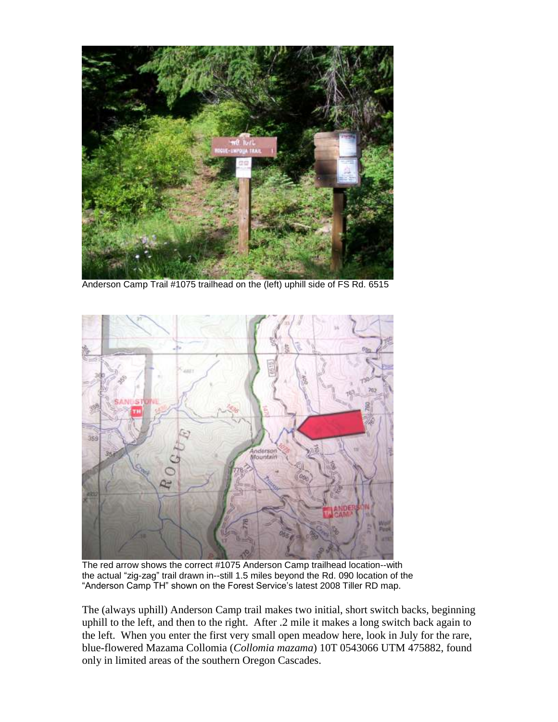

Anderson Camp Trail #1075 trailhead on the (left) uphill side of FS Rd. 6515



The red arrow shows the correct #1075 Anderson Camp trailhead location--with the actual "zig-zag" trail drawn in--still 1.5 miles beyond the Rd. 090 location of the "Anderson Camp TH" shown on the Forest Service's latest 2008 Tiller RD map.

The (always uphill) Anderson Camp trail makes two initial, short switch backs, beginning uphill to the left, and then to the right. After .2 mile it makes a long switch back again to the left. When you enter the first very small open meadow here, look in July for the rare, blue-flowered Mazama Collomia (*Collomia mazama*) 10T 0543066 UTM 475882, found only in limited areas of the southern Oregon Cascades.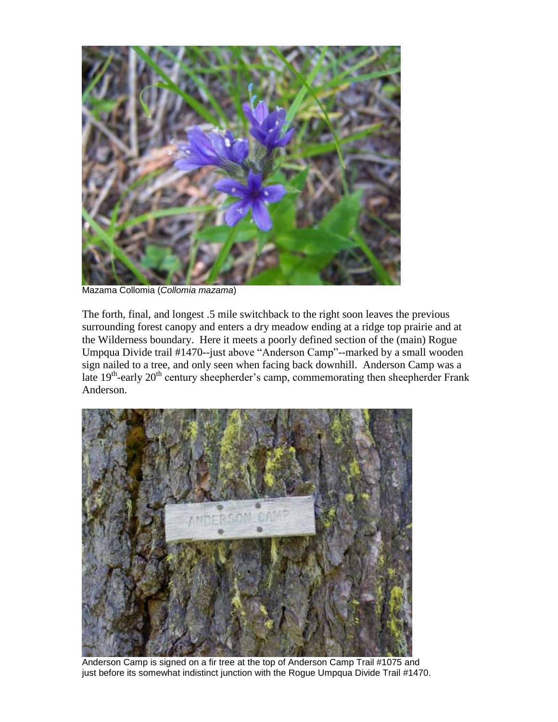

Mazama Collomia (*Collomia mazama*)

The forth, final, and longest .5 mile switchback to the right soon leaves the previous surrounding forest canopy and enters a dry meadow ending at a ridge top prairie and at the Wilderness boundary. Here it meets a poorly defined section of the (main) Rogue Umpqua Divide trail #1470--just above "Anderson Camp"--marked by a small wooden sign nailed to a tree, and only seen when facing back downhill. Anderson Camp was a late 19<sup>th</sup>-early 20<sup>th</sup> century sheepherder's camp, commemorating then sheepherder Frank Anderson.



Anderson Camp is signed on a fir tree at the top of Anderson Camp Trail #1075 and just before its somewhat indistinct junction with the Rogue Umpqua Divide Trail #1470.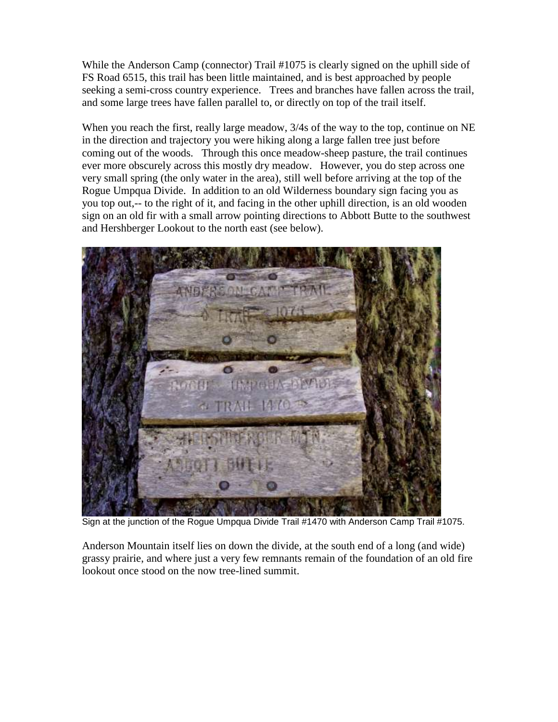While the Anderson Camp (connector) Trail #1075 is clearly signed on the uphill side of FS Road 6515, this trail has been little maintained, and is best approached by people seeking a semi-cross country experience. Trees and branches have fallen across the trail, and some large trees have fallen parallel to, or directly on top of the trail itself.

When you reach the first, really large meadow,  $3/4s$  of the way to the top, continue on NE in the direction and trajectory you were hiking along a large fallen tree just before coming out of the woods. Through this once meadow-sheep pasture, the trail continues ever more obscurely across this mostly dry meadow. However, you do step across one very small spring (the only water in the area), still well before arriving at the top of the Rogue Umpqua Divide. In addition to an old Wilderness boundary sign facing you as you top out,-- to the right of it, and facing in the other uphill direction, is an old wooden sign on an old fir with a small arrow pointing directions to Abbott Butte to the southwest and Hershberger Lookout to the north east (see below).



Sign at the junction of the Rogue Umpqua Divide Trail #1470 with Anderson Camp Trail #1075.

Anderson Mountain itself lies on down the divide, at the south end of a long (and wide) grassy prairie, and where just a very few remnants remain of the foundation of an old fire lookout once stood on the now tree-lined summit.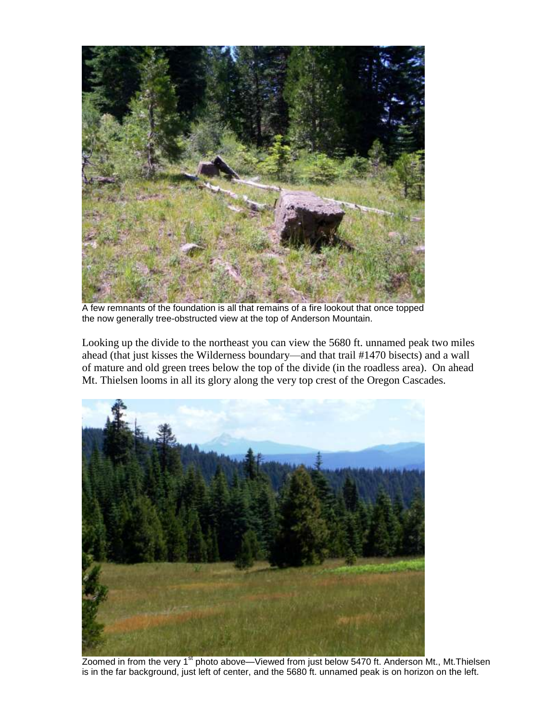

A few remnants of the foundation is all that remains of a fire lookout that once topped the now generally tree-obstructed view at the top of Anderson Mountain.

Looking up the divide to the northeast you can view the 5680 ft. unnamed peak two miles ahead (that just kisses the Wilderness boundary—and that trail #1470 bisects) and a wall of mature and old green trees below the top of the divide (in the roadless area). On ahead Mt. Thielsen looms in all its glory along the very top crest of the Oregon Cascades.



Zoomed in from the very 1<sup>st</sup> photo above—Viewed from just below 5470 ft. Anderson Mt., Mt.Thielsen is in the far background, just left of center, and the 5680 ft. unnamed peak is on horizon on the left.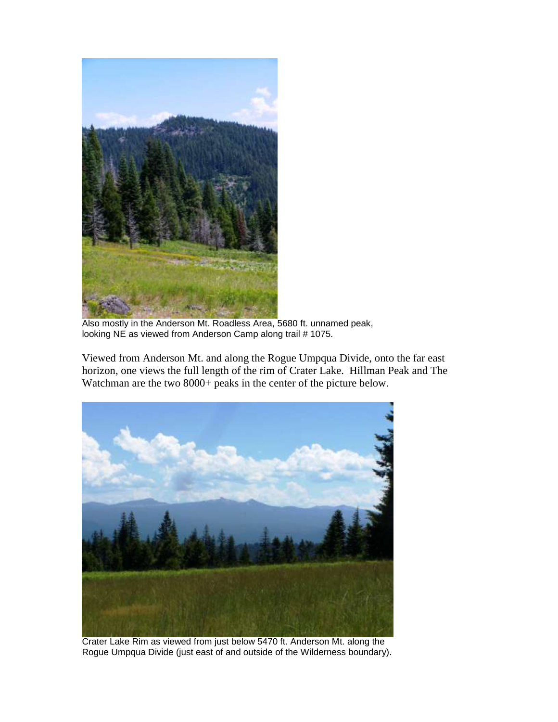

Also mostly in the Anderson Mt. Roadless Area, 5680 ft. unnamed peak, looking NE as viewed from Anderson Camp along trail # 1075.

Viewed from Anderson Mt. and along the Rogue Umpqua Divide, onto the far east horizon, one views the full length of the rim of Crater Lake. Hillman Peak and The Watchman are the two 8000+ peaks in the center of the picture below.



Crater Lake Rim as viewed from just below 5470 ft. Anderson Mt. along the Rogue Umpqua Divide (just east of and outside of the Wilderness boundary).